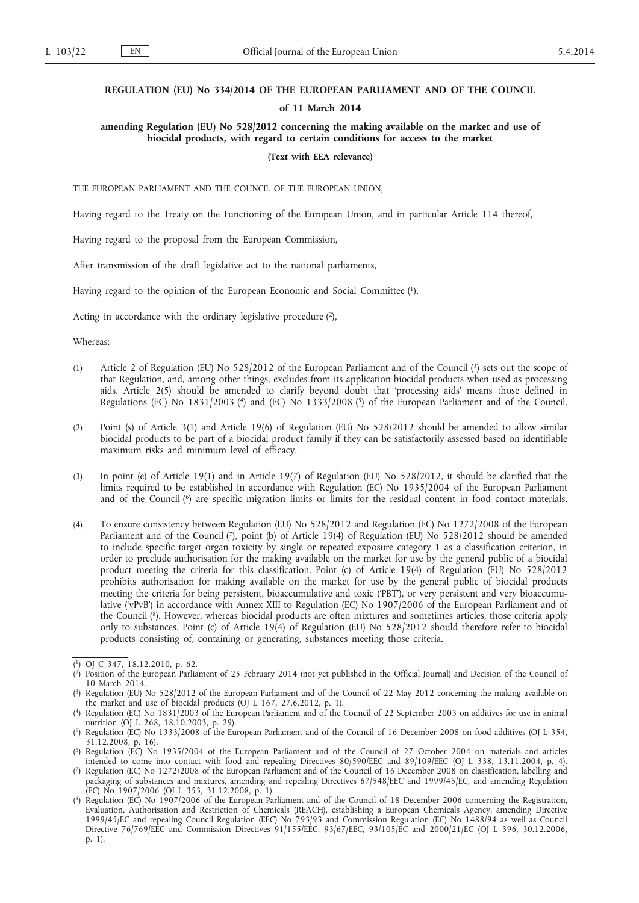# **REGULATION (EU) No 334/2014 OF THE EUROPEAN PARLIAMENT AND OF THE COUNCIL**

#### **of 11 March 2014**

# **amending Regulation (EU) No 528/2012 concerning the making available on the market and use of biocidal products, with regard to certain conditions for access to the market**

#### **(Text with EEA relevance)**

THE EUROPEAN PARLIAMENT AND THE COUNCIL OF THE EUROPEAN UNION,

Having regard to the Treaty on the Functioning of the European Union, and in particular Article 114 thereof,

Having regard to the proposal from the European Commission,

After transmission of the draft legislative act to the national parliaments,

Having regard to the opinion of the European Economic and Social Committee (1),

Acting in accordance with the ordinary legislative procedure  $(2)$ ,

Whereas:

- (1) Article 2 of Regulation (EU) No 528/2012 of the European Parliament and of the Council (3) sets out the scope of that Regulation, and, among other things, excludes from its application biocidal products when used as processing aids. Article 2(5) should be amended to clarify beyond doubt that 'processing aids' means those defined in Regulations (EC) No 1831/2003 (<sup>4</sup>) and (EC) No 1333/2008 (<sup>5</sup>) of the European Parliament and of the Council.
- (2) Point (s) of Article 3(1) and Article 19(6) of Regulation (EU) No 528/2012 should be amended to allow similar biocidal products to be part of a biocidal product family if they can be satisfactorily assessed based on identifiable maximum risks and minimum level of efficacy.
- (3) In point (e) of Article 19(1) and in Article 19(7) of Regulation (EU) No 528/2012, it should be clarified that the limits required to be established in accordance with Regulation (EC) No 1935/2004 of the European Parliament and of the Council (6) are specific migration limits or limits for the residual content in food contact materials.
- (4) To ensure consistency between Regulation (EU) No 528/2012 and Regulation (EC) No 1272/2008 of the European Parliament and of the Council (7), point (b) of Article 19(4) of Regulation (EU) No 528/2012 should be amended to include specific target organ toxicity by single or repeated exposure category 1 as a classification criterion, in order to preclude authorisation for the making available on the market for use by the general public of a biocidal product meeting the criteria for this classification. Point (c) of Article 19(4) of Regulation (EU) No 528/2012 prohibits authorisation for making available on the market for use by the general public of biocidal products meeting the criteria for being persistent, bioaccumulative and toxic ('PBT'), or very persistent and very bioaccumulative ('vPvB') in accordance with Annex XIII to Regulation (EC) No 1907/2006 of the European Parliament and of the Council (8). However, whereas biocidal products are often mixtures and sometimes articles, those criteria apply only to substances. Point (c) of Article 19(4) of Regulation (EU) No 528/2012 should therefore refer to biocidal products consisting of, containing or generating, substances meeting those criteria.

<sup>(</sup> 1) OJ C 347, 18.12.2010, p. 62.

<sup>(</sup> 2) Position of the European Parliament of 25 February 2014 (not yet published in the Official Journal) and Decision of the Council of 10 March 2014.

<sup>(</sup> 3) Regulation (EU) No 528/2012 of the European Parliament and of the Council of 22 May 2012 concerning the making available on the market and use of biocidal products (OJ L 167, 27.6.2012, p. 1).

<sup>(</sup> 4) Regulation (EC) No 1831/2003 of the European Parliament and of the Council of 22 September 2003 on additives for use in animal nutrition (OJ L 268, 18.10.2003, p. 29).

<sup>(</sup> 5) Regulation (EC) No 1333/2008 of the European Parliament and of the Council of 16 December 2008 on food additives (OJ L 354, 31.12.2008, p. 16).

<sup>(</sup> 6) Regulation (EC) No 1935/2004 of the European Parliament and of the Council of 27 October 2004 on materials and articles intended to come into contact with food and repealing Directives 80/590/EEC and 89/109/EEC (OJ L 338, 13.11.2004, p. 4).

<sup>(</sup> 7) Regulation (EC) No 1272/2008 of the European Parliament and of the Council of 16 December 2008 on classification, labelling and packaging of substances and mixtures, amending and repealing Directives 67/548/EEC and 1999/45/EC, and amending Regulation (EC) No 1907/2006 (OJ L 353, 31.12.2008, p. 1).

<sup>(</sup> 8) Regulation (EC) No 1907/2006 of the European Parliament and of the Council of 18 December 2006 concerning the Registration, Evaluation, Authorisation and Restriction of Chemicals (REACH), establishing a European Chemicals Agency, amending Directive 1999/45/EC and repealing Council Regulation (EEC) No 793/93 and Commission Regulation (EC) No 1488/94 as well as Council Directive 76/769/EEC and Commission Directives 91/155/EEC, 93/67/EEC, 93/105/EC and 2000/21/EC (OJ L 396, 30.12.2006, p. 1).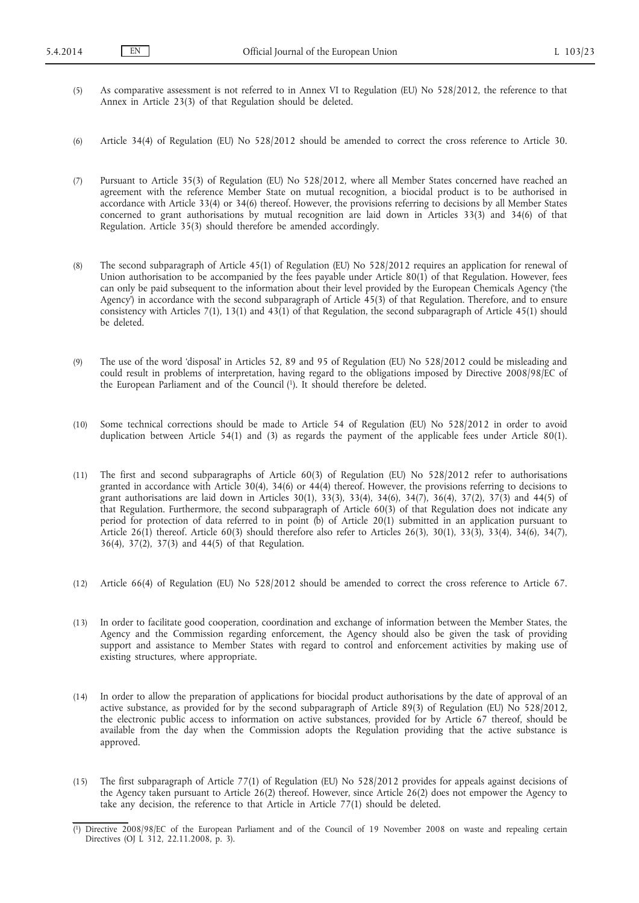- (5) As comparative assessment is not referred to in Annex VI to Regulation (EU) No 528/2012, the reference to that Annex in Article 23(3) of that Regulation should be deleted.
- (6) Article 34(4) of Regulation (EU) No 528/2012 should be amended to correct the cross reference to Article 30.
- (7) Pursuant to Article 35(3) of Regulation (EU) No 528/2012, where all Member States concerned have reached an agreement with the reference Member State on mutual recognition, a biocidal product is to be authorised in accordance with Article 33(4) or 34(6) thereof. However, the provisions referring to decisions by all Member States concerned to grant authorisations by mutual recognition are laid down in Articles 33(3) and 34(6) of that Regulation. Article 35(3) should therefore be amended accordingly.
- (8) The second subparagraph of Article 45(1) of Regulation (EU) No 528/2012 requires an application for renewal of Union authorisation to be accompanied by the fees payable under Article 80(1) of that Regulation. However, fees can only be paid subsequent to the information about their level provided by the European Chemicals Agency ('the Agency') in accordance with the second subparagraph of Article 45(3) of that Regulation. Therefore, and to ensure consistency with Articles 7(1), 13(1) and 43(1) of that Regulation, the second subparagraph of Article 45(1) should be deleted.
- (9) The use of the word 'disposal' in Articles 52, 89 and 95 of Regulation (EU) No 528/2012 could be misleading and could result in problems of interpretation, having regard to the obligations imposed by Directive 2008/98/EC of the European Parliament and of the Council (1). It should therefore be deleted.
- (10) Some technical corrections should be made to Article 54 of Regulation (EU) No 528/2012 in order to avoid duplication between Article 54(1) and (3) as regards the payment of the applicable fees under Article 80(1).
- (11) The first and second subparagraphs of Article 60(3) of Regulation (EU) No 528/2012 refer to authorisations granted in accordance with Article 30(4), 34(6) or 44(4) thereof. However, the provisions referring to decisions to grant authorisations are laid down in Articles 30(1), 33(3), 33(4), 34(6), 34(7), 36(4), 37(2), 37(3) and 44(5) of that Regulation. Furthermore, the second subparagraph of Article 60(3) of that Regulation does not indicate any period for protection of data referred to in point (b) of Article 20(1) submitted in an application pursuant to Article 26(1) thereof. Article 60(3) should therefore also refer to Articles 26(3), 30(1), 33(3), 33(4), 34(6), 34(7), 36(4), 37(2), 37(3) and 44(5) of that Regulation.
- (12) Article 66(4) of Regulation (EU) No 528/2012 should be amended to correct the cross reference to Article 67.
- (13) In order to facilitate good cooperation, coordination and exchange of information between the Member States, the Agency and the Commission regarding enforcement, the Agency should also be given the task of providing support and assistance to Member States with regard to control and enforcement activities by making use of existing structures, where appropriate.
- (14) In order to allow the preparation of applications for biocidal product authorisations by the date of approval of an active substance, as provided for by the second subparagraph of Article 89(3) of Regulation (EU) No 528/2012, the electronic public access to information on active substances, provided for by Article 67 thereof, should be available from the day when the Commission adopts the Regulation providing that the active substance is approved.
- (15) The first subparagraph of Article 77(1) of Regulation (EU) No 528/2012 provides for appeals against decisions of the Agency taken pursuant to Article 26(2) thereof. However, since Article 26(2) does not empower the Agency to take any decision, the reference to that Article in Article 77(1) should be deleted.

<sup>(</sup> 1) Directive 2008/98/EC of the European Parliament and of the Council of 19 November 2008 on waste and repealing certain Directives (OJ L 312, 22.11.2008, p. 3).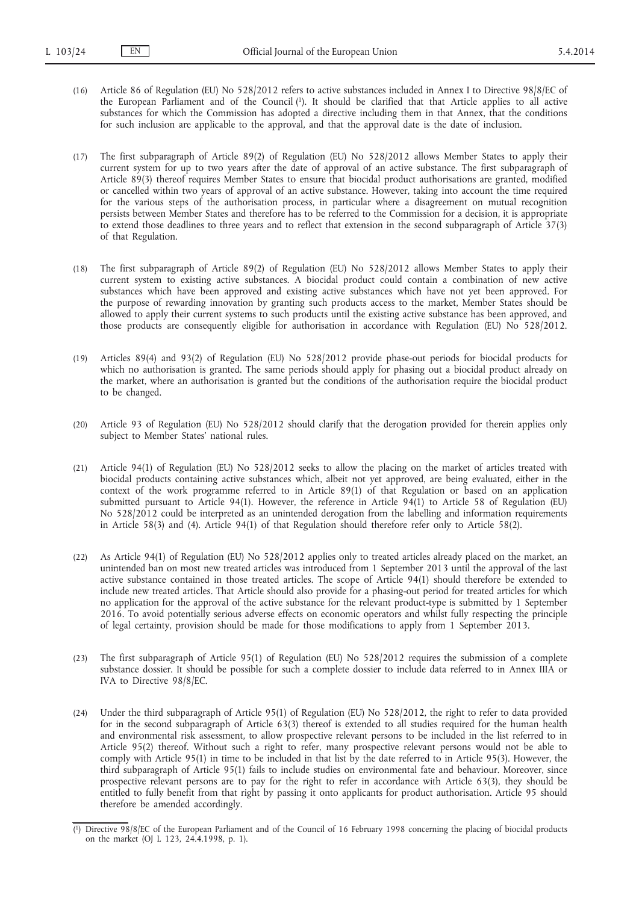(16) Article 86 of Regulation (EU) No 528/2012 refers to active substances included in Annex I to Directive 98/8/EC of the European Parliament and of the Council (1). It should be clarified that that Article applies to all active substances for which the Commission has adopted a directive including them in that Annex, that the conditions for such inclusion are applicable to the approval, and that the approval date is the date of inclusion.

(17) The first subparagraph of Article 89(2) of Regulation (EU) No 528/2012 allows Member States to apply their current system for up to two years after the date of approval of an active substance. The first subparagraph of Article 89(3) thereof requires Member States to ensure that biocidal product authorisations are granted, modified or cancelled within two years of approval of an active substance. However, taking into account the time required for the various steps of the authorisation process, in particular where a disagreement on mutual recognition persists between Member States and therefore has to be referred to the Commission for a decision, it is appropriate to extend those deadlines to three years and to reflect that extension in the second subparagraph of Article 37(3) of that Regulation.

- (18) The first subparagraph of Article 89(2) of Regulation (EU) No 528/2012 allows Member States to apply their current system to existing active substances. A biocidal product could contain a combination of new active substances which have been approved and existing active substances which have not yet been approved. For the purpose of rewarding innovation by granting such products access to the market, Member States should be allowed to apply their current systems to such products until the existing active substance has been approved, and those products are consequently eligible for authorisation in accordance with Regulation (EU) No 528/2012.
- (19) Articles 89(4) and 93(2) of Regulation (EU) No 528/2012 provide phase-out periods for biocidal products for which no authorisation is granted. The same periods should apply for phasing out a biocidal product already on the market, where an authorisation is granted but the conditions of the authorisation require the biocidal product to be changed.
- (20) Article 93 of Regulation (EU) No 528/2012 should clarify that the derogation provided for therein applies only subject to Member States' national rules.
- (21) Article 94(1) of Regulation (EU) No 528/2012 seeks to allow the placing on the market of articles treated with biocidal products containing active substances which, albeit not yet approved, are being evaluated, either in the context of the work programme referred to in Article 89(1) of that Regulation or based on an application submitted pursuant to Article 94(1). However, the reference in Article 94(1) to Article 58 of Regulation (EU) No 528/2012 could be interpreted as an unintended derogation from the labelling and information requirements in Article 58(3) and (4). Article 94(1) of that Regulation should therefore refer only to Article 58(2).
- (22) As Article 94(1) of Regulation (EU) No 528/2012 applies only to treated articles already placed on the market, an unintended ban on most new treated articles was introduced from 1 September 2013 until the approval of the last active substance contained in those treated articles. The scope of Article 94(1) should therefore be extended to include new treated articles. That Article should also provide for a phasing-out period for treated articles for which no application for the approval of the active substance for the relevant product-type is submitted by 1 September 2016. To avoid potentially serious adverse effects on economic operators and whilst fully respecting the principle of legal certainty, provision should be made for those modifications to apply from 1 September 2013.
- (23) The first subparagraph of Article 95(1) of Regulation (EU) No 528/2012 requires the submission of a complete substance dossier. It should be possible for such a complete dossier to include data referred to in Annex IIIA or IVA to Directive 98/8/EC.
- (24) Under the third subparagraph of Article 95(1) of Regulation (EU) No 528/2012, the right to refer to data provided for in the second subparagraph of Article 63(3) thereof is extended to all studies required for the human health and environmental risk assessment, to allow prospective relevant persons to be included in the list referred to in Article 95(2) thereof. Without such a right to refer, many prospective relevant persons would not be able to comply with Article 95(1) in time to be included in that list by the date referred to in Article 95(3). However, the third subparagraph of Article 95(1) fails to include studies on environmental fate and behaviour. Moreover, since prospective relevant persons are to pay for the right to refer in accordance with Article 63(3), they should be entitled to fully benefit from that right by passing it onto applicants for product authorisation. Article 95 should therefore be amended accordingly.

<sup>(</sup> 1) Directive 98/8/EC of the European Parliament and of the Council of 16 February 1998 concerning the placing of biocidal products on the market (OJ L 123, 24.4.1998, p. 1).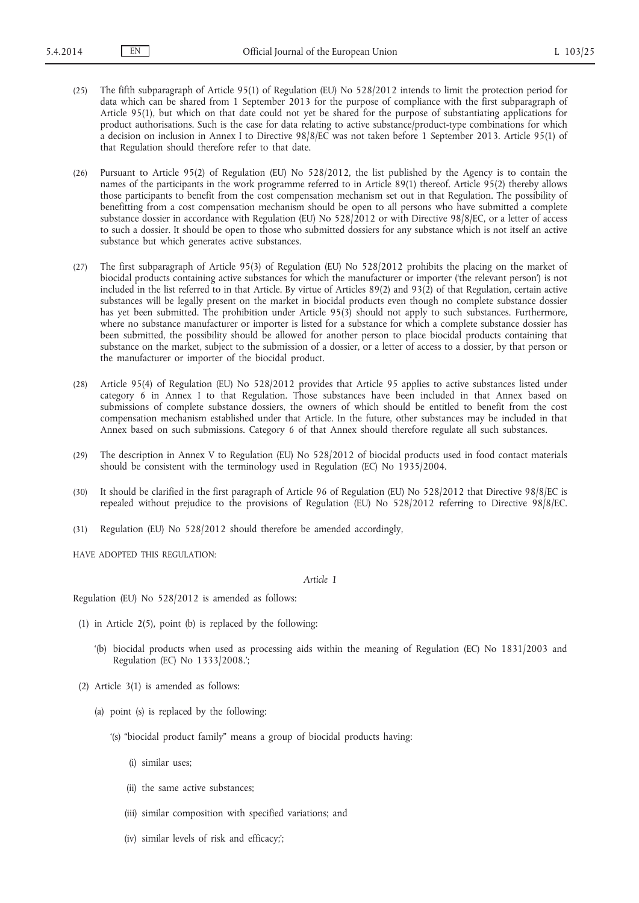(25) The fifth subparagraph of Article 95(1) of Regulation (EU) No 528/2012 intends to limit the protection period for data which can be shared from 1 September 2013 for the purpose of compliance with the first subparagraph of Article 95(1), but which on that date could not yet be shared for the purpose of substantiating applications for product authorisations. Such is the case for data relating to active substance/product-type combinations for which a decision on inclusion in Annex I to Directive 98/8/EC was not taken before 1 September 2013. Article 95(1) of that Regulation should therefore refer to that date.

(26) Pursuant to Article 95(2) of Regulation (EU) No 528/2012, the list published by the Agency is to contain the names of the participants in the work programme referred to in Article 89(1) thereof. Article 95(2) thereby allows those participants to benefit from the cost compensation mechanism set out in that Regulation. The possibility of benefitting from a cost compensation mechanism should be open to all persons who have submitted a complete substance dossier in accordance with Regulation (EU) No 528/2012 or with Directive 98/8/EC, or a letter of access to such a dossier. It should be open to those who submitted dossiers for any substance which is not itself an active substance but which generates active substances.

- (27) The first subparagraph of Article 95(3) of Regulation (EU) No 528/2012 prohibits the placing on the market of biocidal products containing active substances for which the manufacturer or importer ('the relevant person') is not included in the list referred to in that Article. By virtue of Articles 89(2) and 93(2) of that Regulation, certain active substances will be legally present on the market in biocidal products even though no complete substance dossier has yet been submitted. The prohibition under Article 95(3) should not apply to such substances. Furthermore, where no substance manufacturer or importer is listed for a substance for which a complete substance dossier has been submitted, the possibility should be allowed for another person to place biocidal products containing that substance on the market, subject to the submission of a dossier, or a letter of access to a dossier, by that person or the manufacturer or importer of the biocidal product.
- (28) Article 95(4) of Regulation (EU) No 528/2012 provides that Article 95 applies to active substances listed under category 6 in Annex I to that Regulation. Those substances have been included in that Annex based on submissions of complete substance dossiers, the owners of which should be entitled to benefit from the cost compensation mechanism established under that Article. In the future, other substances may be included in that Annex based on such submissions. Category 6 of that Annex should therefore regulate all such substances.
- (29) The description in Annex V to Regulation (EU) No 528/2012 of biocidal products used in food contact materials should be consistent with the terminology used in Regulation (EC) No 1935/2004.
- (30) It should be clarified in the first paragraph of Article 96 of Regulation (EU) No 528/2012 that Directive 98/8/EC is repealed without prejudice to the provisions of Regulation (EU) No 528/2012 referring to Directive 98/8/EC.
- (31) Regulation (EU) No 528/2012 should therefore be amended accordingly,

HAVE ADOPTED THIS REGULATION:

## *Article 1*

Regulation (EU) No 528/2012 is amended as follows:

- (1) in Article 2(5), point (b) is replaced by the following:
	- '(b) biocidal products when used as processing aids within the meaning of Regulation (EC) No 1831/2003 and Regulation (EC) No 1333/2008.';
- (2) Article 3(1) is amended as follows:
	- (a) point (s) is replaced by the following:
		- '(s) "biocidal product family" means a group of biocidal products having:
			- (i) similar uses;
			- (ii) the same active substances;
			- (iii) similar composition with specified variations; and
			- (iv) similar levels of risk and efficacy;';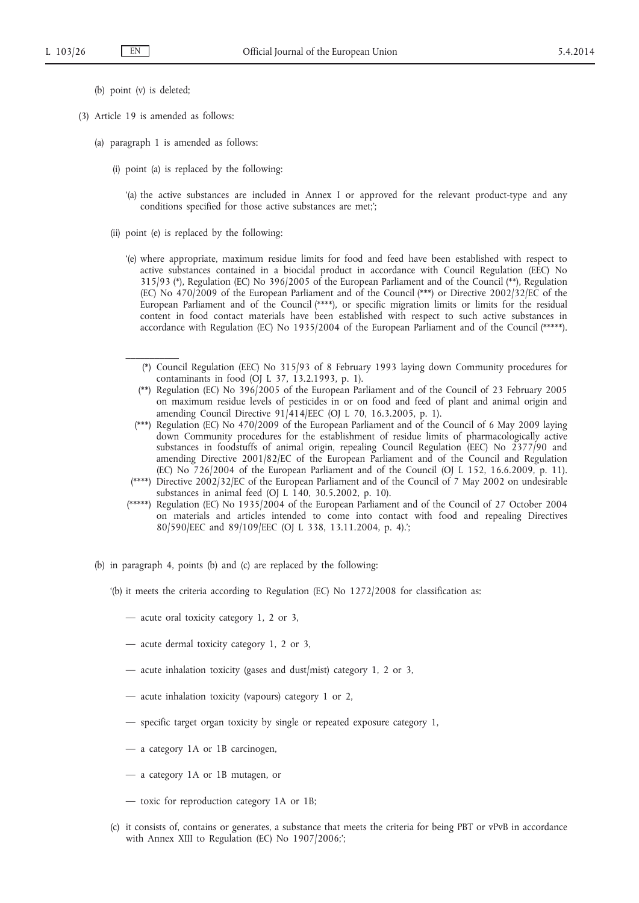- (b) point (v) is deleted;
- (3) Article 19 is amended as follows:

 $\frac{1}{2}$ 

- (a) paragraph 1 is amended as follows:
	- (i) point (a) is replaced by the following:
		- '(a) the active substances are included in Annex I or approved for the relevant product-type and any conditions specified for those active substances are met;';
	- (ii) point (e) is replaced by the following:
		- '(e) where appropriate, maximum residue limits for food and feed have been established with respect to active substances contained in a biocidal product in accordance with Council Regulation (EEC) No 315/93 (\*), Regulation (EC) No 396/2005 of the European Parliament and of the Council (\*\*), Regulation (EC) No 470/2009 of the European Parliament and of the Council (\*\*\*) or Directive 2002/32/EC of the European Parliament and of the Council (\*\*\*\*), or specific migration limits or limits for the residual content in food contact materials have been established with respect to such active substances in accordance with Regulation (EC) No 1935/2004 of the European Parliament and of the Council (\*\*\*\*\*).
			- (\*) Council Regulation (EEC) No 315/93 of 8 February 1993 laying down Community procedures for contaminants in food (OJ L 37, 13.2.1993, p. 1).
			- (\*\*) Regulation (EC) No 396/2005 of the European Parliament and of the Council of 23 February 2005 on maximum residue levels of pesticides in or on food and feed of plant and animal origin and amending Council Directive 91/414/EEC (OJ L 70, 16.3.2005, p. 1).
			- (\*\*\*) Regulation (EC) No 470/2009 of the European Parliament and of the Council of 6 May 2009 laying down Community procedures for the establishment of residue limits of pharmacologically active substances in foodstuffs of animal origin, repealing Council Regulation (EEC) No 2377/90 and amending Directive 2001/82/EC of the European Parliament and of the Council and Regulation (EC) No 726/2004 of the European Parliament and of the Council (OJ L 152, 16.6.2009, p. 11).
		- (\*\*\*\*) Directive 2002/32/EC of the European Parliament and of the Council of 7 May 2002 on undesirable substances in animal feed (OJ L 140, 30.5.2002, p. 10).
		- (\*\*\*\*\*) Regulation (EC) No 1935/2004 of the European Parliament and of the Council of 27 October 2004 on materials and articles intended to come into contact with food and repealing Directives 80/590/EEC and 89/109/EEC (OJ L 338, 13.11.2004, p. 4).';
- (b) in paragraph 4, points (b) and (c) are replaced by the following:
	- '(b) it meets the criteria according to Regulation (EC) No 1272/2008 for classification as:
		- acute oral toxicity category 1, 2 or 3,
		- acute dermal toxicity category 1, 2 or 3,
		- acute inhalation toxicity (gases and dust/mist) category 1, 2 or 3,
		- acute inhalation toxicity (vapours) category 1 or 2,
		- specific target organ toxicity by single or repeated exposure category 1,
		- a category 1A or 1B carcinogen,
		- a category 1A or 1B mutagen, or
		- toxic for reproduction category 1A or 1B;
	- (c) it consists of, contains or generates, a substance that meets the criteria for being PBT or vPvB in accordance with Annex XIII to Regulation (EC) No 1907/2006;';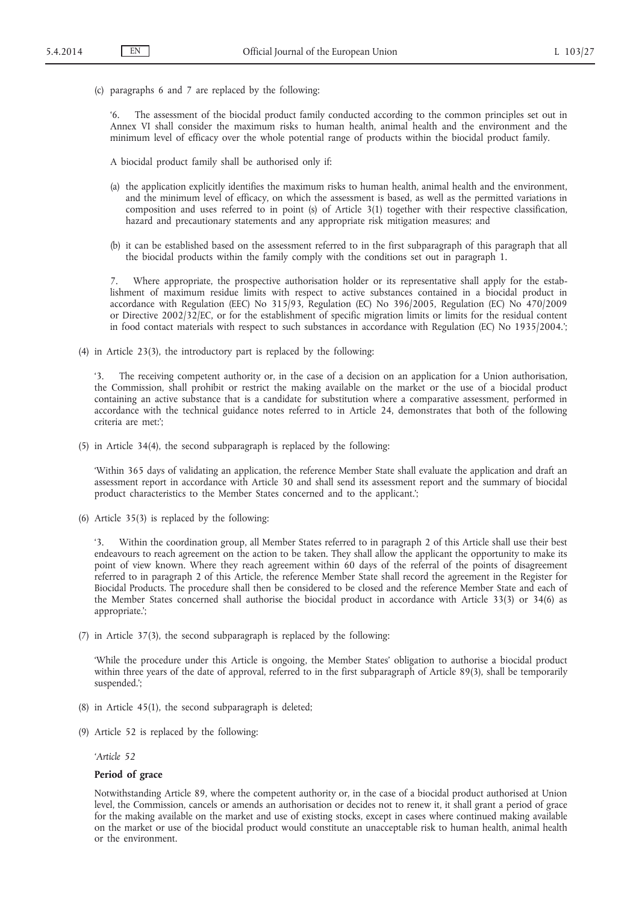(c) paragraphs 6 and 7 are replaced by the following:

'6. The assessment of the biocidal product family conducted according to the common principles set out in Annex VI shall consider the maximum risks to human health, animal health and the environment and the minimum level of efficacy over the whole potential range of products within the biocidal product family.

A biocidal product family shall be authorised only if:

- (a) the application explicitly identifies the maximum risks to human health, animal health and the environment, and the minimum level of efficacy, on which the assessment is based, as well as the permitted variations in composition and uses referred to in point (s) of Article 3(1) together with their respective classification, hazard and precautionary statements and any appropriate risk mitigation measures; and
- (b) it can be established based on the assessment referred to in the first subparagraph of this paragraph that all the biocidal products within the family comply with the conditions set out in paragraph 1.

Where appropriate, the prospective authorisation holder or its representative shall apply for the establishment of maximum residue limits with respect to active substances contained in a biocidal product in accordance with Regulation (EEC) No 315/93, Regulation (EC) No 396/2005, Regulation (EC) No 470/2009 or Directive 2002/32/EC, or for the establishment of specific migration limits or limits for the residual content in food contact materials with respect to such substances in accordance with Regulation (EC) No 1935/2004.';

(4) in Article 23(3), the introductory part is replaced by the following:

The receiving competent authority or, in the case of a decision on an application for a Union authorisation, the Commission, shall prohibit or restrict the making available on the market or the use of a biocidal product containing an active substance that is a candidate for substitution where a comparative assessment, performed in accordance with the technical guidance notes referred to in Article 24, demonstrates that both of the following criteria are met:';

(5) in Article 34(4), the second subparagraph is replaced by the following:

'Within 365 days of validating an application, the reference Member State shall evaluate the application and draft an assessment report in accordance with Article 30 and shall send its assessment report and the summary of biocidal product characteristics to the Member States concerned and to the applicant.';

(6) Article 35(3) is replaced by the following:

'3. Within the coordination group, all Member States referred to in paragraph 2 of this Article shall use their best endeavours to reach agreement on the action to be taken. They shall allow the applicant the opportunity to make its point of view known. Where they reach agreement within 60 days of the referral of the points of disagreement referred to in paragraph 2 of this Article, the reference Member State shall record the agreement in the Register for Biocidal Products. The procedure shall then be considered to be closed and the reference Member State and each of the Member States concerned shall authorise the biocidal product in accordance with Article 33(3) or 34(6) as appropriate.';

(7) in Article 37(3), the second subparagraph is replaced by the following:

'While the procedure under this Article is ongoing, the Member States' obligation to authorise a biocidal product within three years of the date of approval, referred to in the first subparagraph of Article 89(3), shall be temporarily suspended.';

- (8) in Article 45(1), the second subparagraph is deleted;
- (9) Article 52 is replaced by the following:

*'Article 52*

# **Period of grace**

Notwithstanding Article 89, where the competent authority or, in the case of a biocidal product authorised at Union level, the Commission, cancels or amends an authorisation or decides not to renew it, it shall grant a period of grace for the making available on the market and use of existing stocks, except in cases where continued making available on the market or use of the biocidal product would constitute an unacceptable risk to human health, animal health or the environment.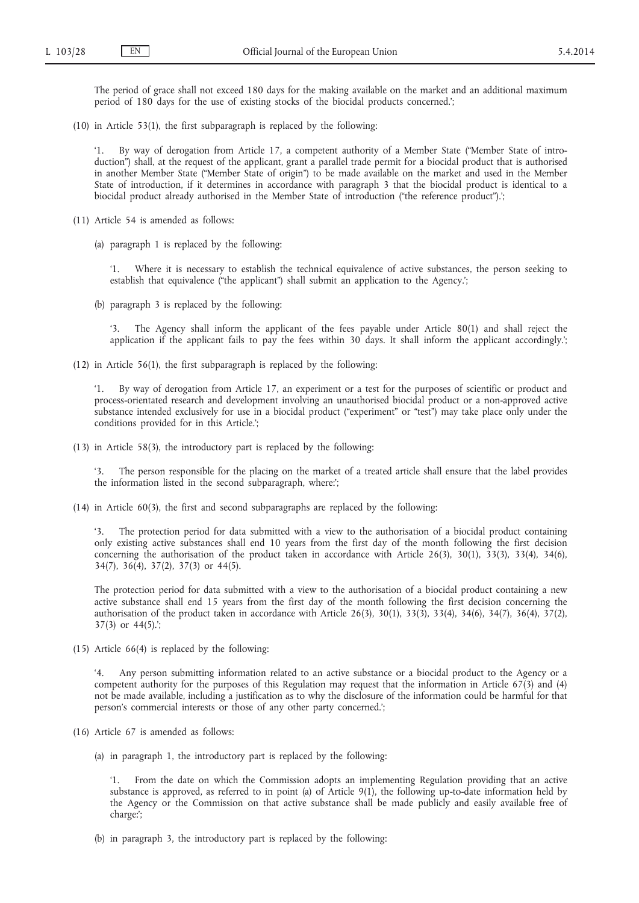The period of grace shall not exceed 180 days for the making available on the market and an additional maximum period of 180 days for the use of existing stocks of the biocidal products concerned.';

(10) in Article 53(1), the first subparagraph is replaced by the following:

By way of derogation from Article 17, a competent authority of a Member State ("Member State of introduction") shall, at the request of the applicant, grant a parallel trade permit for a biocidal product that is authorised in another Member State ("Member State of origin") to be made available on the market and used in the Member State of introduction, if it determines in accordance with paragraph 3 that the biocidal product is identical to a biocidal product already authorised in the Member State of introduction ("the reference product").';

- (11) Article 54 is amended as follows:
	- (a) paragraph 1 is replaced by the following:

Where it is necessary to establish the technical equivalence of active substances, the person seeking to establish that equivalence ("the applicant") shall submit an application to the Agency.';

(b) paragraph 3 is replaced by the following:

'3. The Agency shall inform the applicant of the fees payable under Article 80(1) and shall reject the application if the applicant fails to pay the fees within 30 days. It shall inform the applicant accordingly.';

(12) in Article 56(1), the first subparagraph is replaced by the following:

By way of derogation from Article 17, an experiment or a test for the purposes of scientific or product and process-orientated research and development involving an unauthorised biocidal product or a non-approved active substance intended exclusively for use in a biocidal product ("experiment" or "test") may take place only under the conditions provided for in this Article.';

(13) in Article 58(3), the introductory part is replaced by the following:

'3. The person responsible for the placing on the market of a treated article shall ensure that the label provides the information listed in the second subparagraph, where:';

(14) in Article 60(3), the first and second subparagraphs are replaced by the following:

'3. The protection period for data submitted with a view to the authorisation of a biocidal product containing only existing active substances shall end 10 years from the first day of the month following the first decision concerning the authorisation of the product taken in accordance with Article 26(3), 30(1), 33(3), 33(4), 34(6), 34(7), 36(4), 37(2), 37(3) or 44(5).

The protection period for data submitted with a view to the authorisation of a biocidal product containing a new active substance shall end 15 years from the first day of the month following the first decision concerning the authorisation of the product taken in accordance with Article 26(3), 30(1), 33(3), 33(4), 34(6), 34(7), 36(4), 37(2), 37(3) or 44(5).';

(15) Article 66(4) is replaced by the following:

'4. Any person submitting information related to an active substance or a biocidal product to the Agency or a competent authority for the purposes of this Regulation may request that the information in Article 67(3) and (4) not be made available, including a justification as to why the disclosure of the information could be harmful for that person's commercial interests or those of any other party concerned.';

- (16) Article 67 is amended as follows:
	- (a) in paragraph 1, the introductory part is replaced by the following:

'1. From the date on which the Commission adopts an implementing Regulation providing that an active substance is approved, as referred to in point (a) of Article 9(1), the following up-to-date information held by the Agency or the Commission on that active substance shall be made publicly and easily available free of charge:';

(b) in paragraph 3, the introductory part is replaced by the following: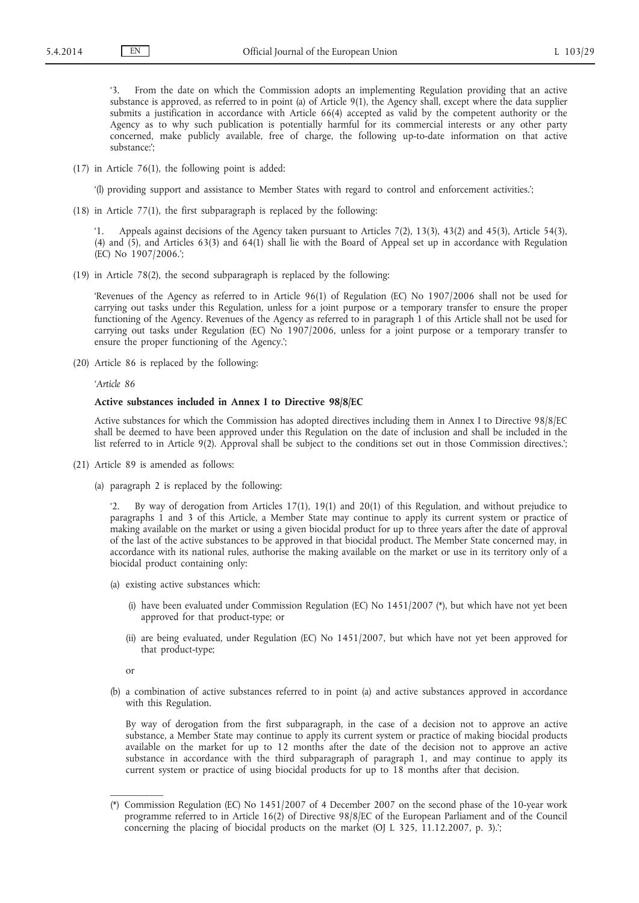From the date on which the Commission adopts an implementing Regulation providing that an active substance is approved, as referred to in point (a) of Article 9(1), the Agency shall, except where the data supplier submits a justification in accordance with Article 66(4) accepted as valid by the competent authority or the Agency as to why such publication is potentially harmful for its commercial interests or any other party concerned, make publicly available, free of charge, the following up-to-date information on that active substance:';

(17) in Article 76(1), the following point is added:

'(l) providing support and assistance to Member States with regard to control and enforcement activities.';

(18) in Article 77(1), the first subparagraph is replaced by the following:

'1. Appeals against decisions of the Agency taken pursuant to Articles 7(2), 13(3), 43(2) and 45(3), Article 54(3), (4) and (5), and Articles 63(3) and 64(1) shall lie with the Board of Appeal set up in accordance with Regulation (EC) No 1907/2006.';

(19) in Article 78(2), the second subparagraph is replaced by the following:

'Revenues of the Agency as referred to in Article 96(1) of Regulation (EC) No 1907/2006 shall not be used for carrying out tasks under this Regulation, unless for a joint purpose or a temporary transfer to ensure the proper functioning of the Agency. Revenues of the Agency as referred to in paragraph 1 of this Article shall not be used for carrying out tasks under Regulation (EC) No 1907/2006, unless for a joint purpose or a temporary transfer to ensure the proper functioning of the Agency.';

(20) Article 86 is replaced by the following:

*'Article 86*

## **Active substances included in Annex I to Directive 98/8/EC**

Active substances for which the Commission has adopted directives including them in Annex I to Directive 98/8/EC shall be deemed to have been approved under this Regulation on the date of inclusion and shall be included in the list referred to in Article 9(2). Approval shall be subject to the conditions set out in those Commission directives.';

- (21) Article 89 is amended as follows:
	- (a) paragraph 2 is replaced by the following:

'2. By way of derogation from Articles 17(1), 19(1) and 20(1) of this Regulation, and without prejudice to paragraphs 1 and 3 of this Article, a Member State may continue to apply its current system or practice of making available on the market or using a given biocidal product for up to three years after the date of approval of the last of the active substances to be approved in that biocidal product. The Member State concerned may, in accordance with its national rules, authorise the making available on the market or use in its territory only of a biocidal product containing only:

- (a) existing active substances which:
	- (i) have been evaluated under Commission Regulation (EC) No 1451/2007 (\*), but which have not yet been approved for that product-type; or
	- (ii) are being evaluated, under Regulation (EC) No 1451/2007, but which have not yet been approved for that product-type;

or

(b) a combination of active substances referred to in point (a) and active substances approved in accordance with this Regulation.

By way of derogation from the first subparagraph, in the case of a decision not to approve an active substance, a Member State may continue to apply its current system or practice of making biocidal products available on the market for up to 12 months after the date of the decision not to approve an active substance in accordance with the third subparagraph of paragraph 1, and may continue to apply its current system or practice of using biocidal products for up to 18 months after that decision.

<sup>(\*)</sup> Commission Regulation (EC) No 1451/2007 of 4 December 2007 on the second phase of the 10-year work programme referred to in Article 16(2) of Directive 98/8/EC of the European Parliament and of the Council concerning the placing of biocidal products on the market (OJ L 325, 11.12.2007, p. 3).';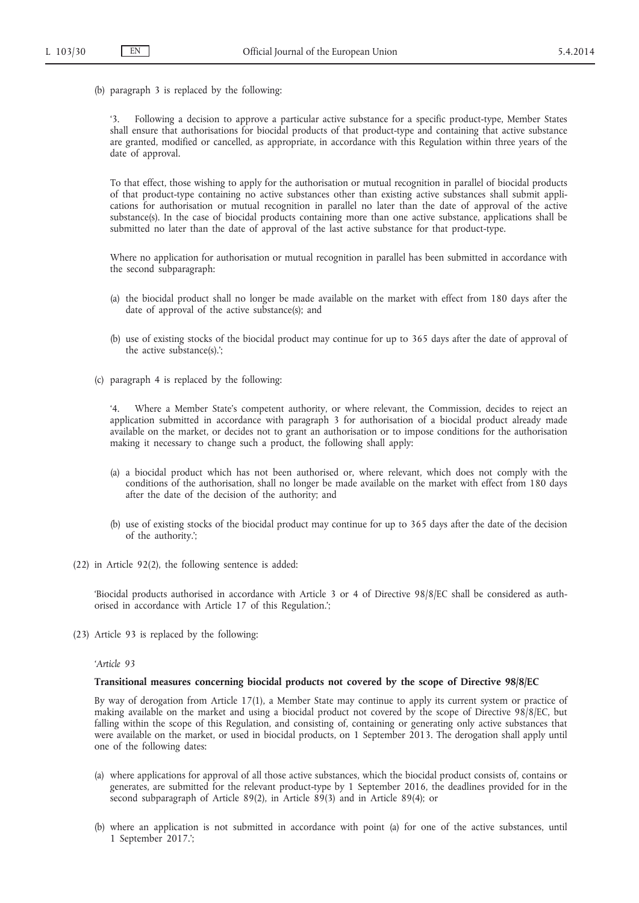(b) paragraph 3 is replaced by the following:

'3. Following a decision to approve a particular active substance for a specific product-type, Member States shall ensure that authorisations for biocidal products of that product-type and containing that active substance are granted, modified or cancelled, as appropriate, in accordance with this Regulation within three years of the date of approval.

To that effect, those wishing to apply for the authorisation or mutual recognition in parallel of biocidal products of that product-type containing no active substances other than existing active substances shall submit applications for authorisation or mutual recognition in parallel no later than the date of approval of the active substance(s). In the case of biocidal products containing more than one active substance, applications shall be submitted no later than the date of approval of the last active substance for that product-type.

Where no application for authorisation or mutual recognition in parallel has been submitted in accordance with the second subparagraph:

- (a) the biocidal product shall no longer be made available on the market with effect from 180 days after the date of approval of the active substance(s); and
- (b) use of existing stocks of the biocidal product may continue for up to 365 days after the date of approval of the active substance(s).';
- (c) paragraph 4 is replaced by the following:

Where a Member State's competent authority, or where relevant, the Commission, decides to reject an application submitted in accordance with paragraph 3 for authorisation of a biocidal product already made available on the market, or decides not to grant an authorisation or to impose conditions for the authorisation making it necessary to change such a product, the following shall apply:

- (a) a biocidal product which has not been authorised or, where relevant, which does not comply with the conditions of the authorisation, shall no longer be made available on the market with effect from 180 days after the date of the decision of the authority; and
- (b) use of existing stocks of the biocidal product may continue for up to 365 days after the date of the decision of the authority.';
- (22) in Article 92(2), the following sentence is added:

'Biocidal products authorised in accordance with Article 3 or 4 of Directive 98/8/EC shall be considered as authorised in accordance with Article 17 of this Regulation.';

(23) Article 93 is replaced by the following:

*'Article 93*

# **Transitional measures concerning biocidal products not covered by the scope of Directive 98/8/EC**

By way of derogation from Article 17(1), a Member State may continue to apply its current system or practice of making available on the market and using a biocidal product not covered by the scope of Directive 98/8/EC, but falling within the scope of this Regulation, and consisting of, containing or generating only active substances that were available on the market, or used in biocidal products, on 1 September 2013. The derogation shall apply until one of the following dates:

- (a) where applications for approval of all those active substances, which the biocidal product consists of, contains or generates, are submitted for the relevant product-type by 1 September 2016, the deadlines provided for in the second subparagraph of Article 89(2), in Article 89(3) and in Article 89(4); or
- (b) where an application is not submitted in accordance with point (a) for one of the active substances, until 1 September 2017.';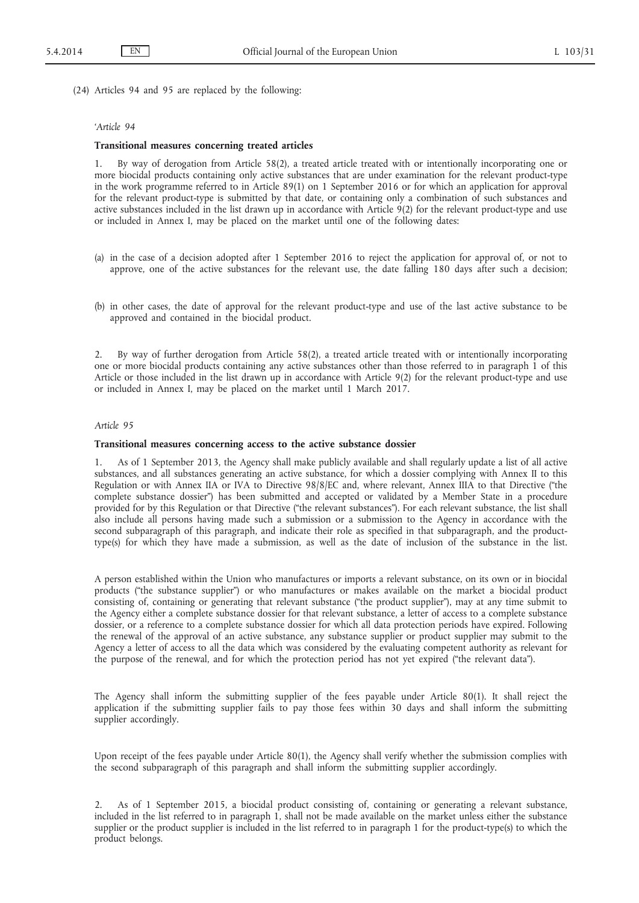(24) Articles 94 and 95 are replaced by the following:

# *'Article 94*

## **Transitional measures concerning treated articles**

1. By way of derogation from Article 58(2), a treated article treated with or intentionally incorporating one or more biocidal products containing only active substances that are under examination for the relevant product-type in the work programme referred to in Article 89(1) on 1 September 2016 or for which an application for approval for the relevant product-type is submitted by that date, or containing only a combination of such substances and active substances included in the list drawn up in accordance with Article 9(2) for the relevant product-type and use or included in Annex I, may be placed on the market until one of the following dates:

- (a) in the case of a decision adopted after 1 September 2016 to reject the application for approval of, or not to approve, one of the active substances for the relevant use, the date falling 180 days after such a decision;
- (b) in other cases, the date of approval for the relevant product-type and use of the last active substance to be approved and contained in the biocidal product.

2. By way of further derogation from Article 58(2), a treated article treated with or intentionally incorporating one or more biocidal products containing any active substances other than those referred to in paragraph 1 of this Article or those included in the list drawn up in accordance with Article 9(2) for the relevant product-type and use or included in Annex I, may be placed on the market until 1 March 2017.

#### *Article 95*

## **Transitional measures concerning access to the active substance dossier**

1. As of 1 September 2013, the Agency shall make publicly available and shall regularly update a list of all active substances, and all substances generating an active substance, for which a dossier complying with Annex II to this Regulation or with Annex IIA or IVA to Directive 98/8/EC and, where relevant, Annex IIIA to that Directive ("the complete substance dossier") has been submitted and accepted or validated by a Member State in a procedure provided for by this Regulation or that Directive ("the relevant substances"). For each relevant substance, the list shall also include all persons having made such a submission or a submission to the Agency in accordance with the second subparagraph of this paragraph, and indicate their role as specified in that subparagraph, and the producttype(s) for which they have made a submission, as well as the date of inclusion of the substance in the list.

A person established within the Union who manufactures or imports a relevant substance, on its own or in biocidal products ("the substance supplier") or who manufactures or makes available on the market a biocidal product consisting of, containing or generating that relevant substance ("the product supplier"), may at any time submit to the Agency either a complete substance dossier for that relevant substance, a letter of access to a complete substance dossier, or a reference to a complete substance dossier for which all data protection periods have expired. Following the renewal of the approval of an active substance, any substance supplier or product supplier may submit to the Agency a letter of access to all the data which was considered by the evaluating competent authority as relevant for the purpose of the renewal, and for which the protection period has not yet expired ("the relevant data").

The Agency shall inform the submitting supplier of the fees payable under Article 80(1). It shall reject the application if the submitting supplier fails to pay those fees within 30 days and shall inform the submitting supplier accordingly.

Upon receipt of the fees payable under Article 80(1), the Agency shall verify whether the submission complies with the second subparagraph of this paragraph and shall inform the submitting supplier accordingly.

2. As of 1 September 2015, a biocidal product consisting of, containing or generating a relevant substance, included in the list referred to in paragraph 1, shall not be made available on the market unless either the substance supplier or the product supplier is included in the list referred to in paragraph 1 for the product-type(s) to which the product belongs.